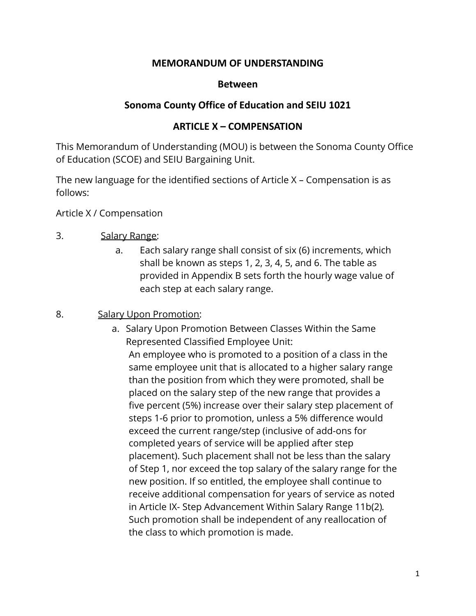### **MEMORANDUM OF UNDERSTANDING**

#### **Between**

### **Sonoma County Office of Education and SEIU 1021**

### **ARTICLE X – COMPENSATION**

This Memorandum of Understanding (MOU) is between the Sonoma County Office of Education (SCOE) and SEIU Bargaining Unit.

The new language for the identified sections of Article X – Compensation is as follows:

Article X / Compensation

### 3. Salary Range:

a. Each salary range shall consist of six (6) increments, which shall be known as steps 1, 2, 3, 4, 5, and 6. The table as provided in Appendix B sets forth the hourly wage value of each step at each salary range.

### 8. Salary Upon Promotion:

a. Salary Upon Promotion Between Classes Within the Same Represented Classified Employee Unit: An employee who is promoted to a position of a class in the same employee unit that is allocated to a higher salary range than the position from which they were promoted, shall be placed on the salary step of the new range that provides a five percent (5%) increase over their salary step placement of steps 1-6 prior to promotion, unless a 5% difference would exceed the current range/step (inclusive of add-ons for completed years of service will be applied after step placement). Such placement shall not be less than the salary of Step 1, nor exceed the top salary of the salary range for the new position. If so entitled, the employee shall continue to receive additional compensation for years of service as noted in Article IX- Step Advancement Within Salary Range 11b(2)*.* Such promotion shall be independent of any reallocation of the class to which promotion is made.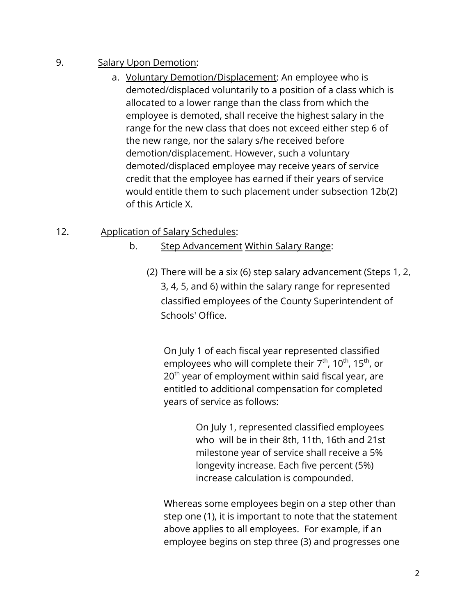# 9. Salary Upon Demotion:

a. Voluntary Demotion/Displacement: An employee who is demoted/displaced voluntarily to a position of a class which is allocated to a lower range than the class from which the employee is demoted, shall receive the highest salary in the range for the new class that does not exceed either step 6 of the new range, nor the salary s/he received before demotion/displacement. However, such a voluntary demoted/displaced employee may receive years of service credit that the employee has earned if their years of service would entitle them to such placement under subsection 12b(2) of this Article X.

# 12. Application of Salary Schedules:

- b. Step Advancement Within Salary Range:
	- (2) There will be a six (6) step salary advancement (Steps 1, 2, 3, 4, 5, and 6) within the salary range for represented classified employees of the County Superintendent of Schools' Office.

On July 1 of each fiscal year represented classified employees who will complete their  $7<sup>th</sup>$ , 10<sup>th</sup>, 15<sup>th</sup>, or  $20<sup>th</sup>$  year of employment within said fiscal year, are entitled to additional compensation for completed years of service as follows:

> On July 1, represented classified employees who will be in their 8th, 11th, 16th and 21st milestone year of service shall receive a 5% longevity increase. Each five percent (5%) increase calculation is compounded.

Whereas some employees begin on a step other than step one (1), it is important to note that the statement above applies to all employees. For example, if an employee begins on step three (3) and progresses one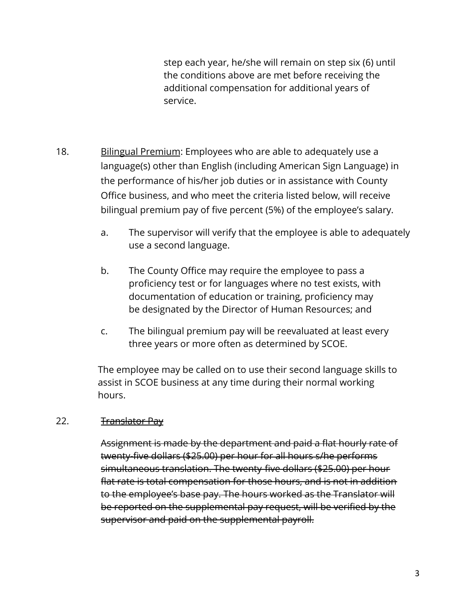step each year, he/she will remain on step six (6) until the conditions above are met before receiving the additional compensation for additional years of service.

- 18. Bilingual Premium: Employees who are able to adequately use a language(s) other than English (including American Sign Language) in the performance of his/her job duties or in assistance with County Office business, and who meet the criteria listed below, will receive bilingual premium pay of five percent (5%) of the employee's salary.
	- a. The supervisor will verify that the employee is able to adequately use a second language.
	- b. The County Office may require the employee to pass a proficiency test or for languages where no test exists, with documentation of education or training, proficiency may be designated by the Director of Human Resources; and
	- c. The bilingual premium pay will be reevaluated at least every three years or more often as determined by SCOE.

The employee may be called on to use their second language skills to assist in SCOE business at any time during their normal working hours.

### 22. Translator Pay

Assignment is made by the department and paid a flat hourly rate of twenty-five dollars (\$25.00) per hour for all hours s/he performs simultaneous translation. The twenty-five dollars (\$25.00) per hour flat rate is total compensation for those hours, and is not in addition to the employee's base pay. The hours worked as the Translator will be reported on the supplemental pay request, will be verified by the supervisor and paid on the supplemental payroll.